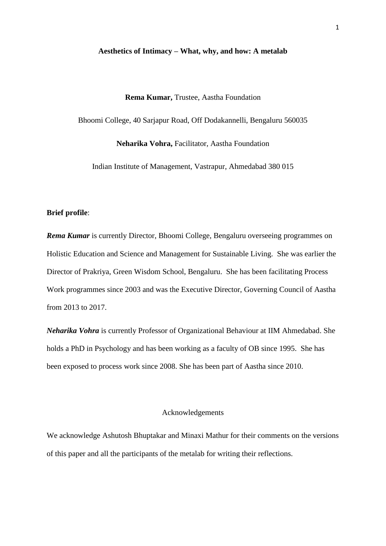#### **Aesthetics of Intimacy – What, why, and how: A metalab**

#### **Rema Kumar,** Trustee, Aastha Foundation

Bhoomi College, 40 Sarjapur Road, Off Dodakannelli, Bengaluru 560035

**Neharika Vohra,** Facilitator, Aastha Foundation

Indian Institute of Management, Vastrapur, Ahmedabad 380 015

## **Brief profile**:

*Rema Kumar* is currently Director, Bhoomi College, Bengaluru overseeing programmes on Holistic Education and Science and Management for Sustainable Living. She was earlier the Director of Prakriya, Green Wisdom School, Bengaluru. She has been facilitating Process Work programmes since 2003 and was the Executive Director, Governing Council of Aastha from 2013 to 2017.

*Neharika Vohra* is currently Professor of Organizational Behaviour at IIM Ahmedabad. She holds a PhD in Psychology and has been working as a faculty of OB since 1995. She has been exposed to process work since 2008. She has been part of Aastha since 2010.

## Acknowledgements

We acknowledge Ashutosh Bhuptakar and Minaxi Mathur for their comments on the versions of this paper and all the participants of the metalab for writing their reflections.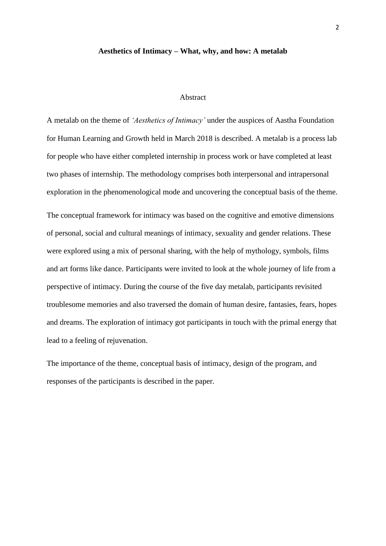#### **Aesthetics of Intimacy – What, why, and how: A metalab**

## Abstract

A metalab on the theme of *'Aesthetics of Intimacy'* under the auspices of Aastha Foundation for Human Learning and Growth held in March 2018 is described. A metalab is a process lab for people who have either completed internship in process work or have completed at least two phases of internship. The methodology comprises both interpersonal and intrapersonal exploration in the phenomenological mode and uncovering the conceptual basis of the theme.

The conceptual framework for intimacy was based on the cognitive and emotive dimensions of personal, social and cultural meanings of intimacy, sexuality and gender relations. These were explored using a mix of personal sharing, with the help of mythology, symbols, films and art forms like dance. Participants were invited to look at the whole journey of life from a perspective of intimacy. During the course of the five day metalab, participants revisited troublesome memories and also traversed the domain of human desire, fantasies, fears, hopes and dreams. The exploration of intimacy got participants in touch with the primal energy that lead to a feeling of rejuvenation.

The importance of the theme, conceptual basis of intimacy, design of the program, and responses of the participants is described in the paper.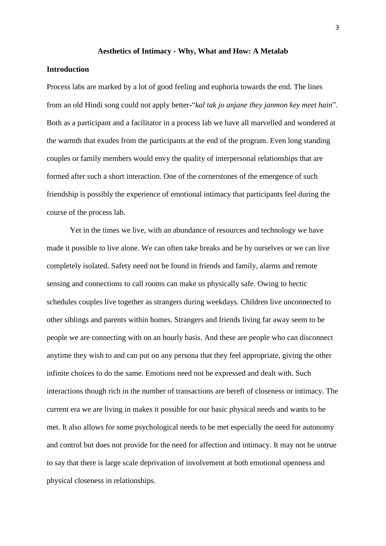#### **Aesthetics of Intimacy - Why, What and How: A Metalab**

## **Introduction**

Process labs are marked by a lot of good feeling and euphoria towards the end. The lines from an old Hindi song could not apply better-"*kal tak jo anjane they janmon key meet hain*". Both as a participant and a facilitator in a process lab we have all marvelled and wondered at the warmth that exudes from the participants at the end of the program. Even long standing couples or family members would envy the quality of interpersonal relationships that are formed after such a short interaction. One of the cornerstones of the emergence of such friendship is possibly the experience of emotional intimacy that participants feel during the course of the process lab.

Yet in the times we live, with an abundance of resources and technology we have made it possible to live alone. We can often take breaks and be by ourselves or we can live completely isolated. Safety need not be found in friends and family, alarms and remote sensing and connections to call rooms can make us physically safe. Owing to hectic schedules couples live together as strangers during weekdays. Children live unconnected to other siblings and parents within homes. Strangers and friends living far away seem to be people we are connecting with on an hourly basis. And these are people who can disconnect anytime they wish to and can put on any persona that they feel appropriate, giving the other infinite choices to do the same. Emotions need not be expressed and dealt with. Such interactions though rich in the number of transactions are bereft of closeness or intimacy. The current era we are living in makes it possible for our basic physical needs and wants to be met. It also allows for some psychological needs to be met especially the need for autonomy and control but does not provide for the need for affection and intimacy. It may not be untrue to say that there is large scale deprivation of involvement at both emotional openness and physical closeness in relationships.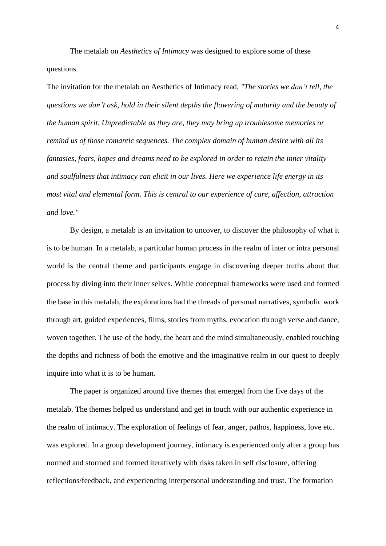The metalab on *Aesthetics of Intimacy* was designed to explore some of these questions.

The invitation for the metalab on Aesthetics of Intimacy read, *"The stories we don't tell, the questions we don't ask, hold in their silent depths the flowering of maturity and the beauty of the human spirit. Unpredictable as they are, they may bring up troublesome memories or remind us of those romantic sequences. The complex domain of human desire with all its fantasies, fears, hopes and dreams need to be explored in order to retain the inner vitality and soulfulness that intimacy can elicit in our lives. Here we experience life energy in its most vital and elemental form. This is central to our experience of care, affection, attraction and love."*

By design, a metalab is an invitation to uncover, to discover the philosophy of what it is to be human. In a metalab, a particular human process in the realm of inter or intra personal world is the central theme and participants engage in discovering deeper truths about that process by diving into their inner selves. While conceptual frameworks were used and formed the base in this metalab, the explorations had the threads of personal narratives, symbolic work through art, guided experiences, films, stories from myths, evocation through verse and dance, woven together. The use of the body, the heart and the mind simultaneously, enabled touching the depths and richness of both the emotive and the imaginative realm in our quest to deeply inquire into what it is to be human.

The paper is organized around five themes that emerged from the five days of the metalab. The themes helped us understand and get in touch with our authentic experience in the realm of intimacy. The exploration of feelings of fear, anger, pathos, happiness, love etc. was explored. In a group development journey, intimacy is experienced only after a group has normed and stormed and formed iteratively with risks taken in self disclosure, offering reflections/feedback, and experiencing interpersonal understanding and trust. The formation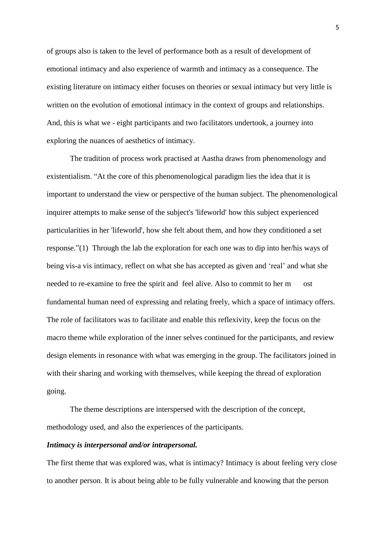of groups also is taken to the level of performance both as a result of development of emotional intimacy and also experience of warmth and intimacy as a consequence. The existing literature on intimacy either focuses on theories or sexual intimacy but very little is written on the evolution of emotional intimacy in the context of groups and relationships. And, this is what we - eight participants and two facilitators undertook, a journey into exploring the nuances of aesthetics of intimacy.

The tradition of process work practised at Aastha draws from phenomenology and existentialism. "At the core of this phenomenological paradigm lies the idea that it is important to understand the view or perspective of the human subject. The phenomenological inquirer attempts to make sense of the subject's 'lifeworld' how this subject experienced particularities in her 'lifeworld', how she felt about them, and how they conditioned a set response."(1) Through the lab the exploration for each one was to dip into her/his ways of being vis-a vis intimacy, reflect on what she has accepted as given and 'real' and what she needed to re-examine to free the spirit and feel alive. Also to commit to her m ost fundamental human need of expressing and relating freely, which a space of intimacy offers. The role of facilitators was to facilitate and enable this reflexivity, keep the focus on the macro theme while exploration of the inner selves continued for the participants, and review design elements in resonance with what was emerging in the group. The facilitators joined in with their sharing and working with themselves, while keeping the thread of exploration going.

The theme descriptions are interspersed with the description of the concept, methodology used, and also the experiences of the participants.

## *Intimacy is interpersonal and/or intrapersonal.*

The first theme that was explored was, what is intimacy? Intimacy is about feeling very close to another person. It is about being able to be fully vulnerable and knowing that the person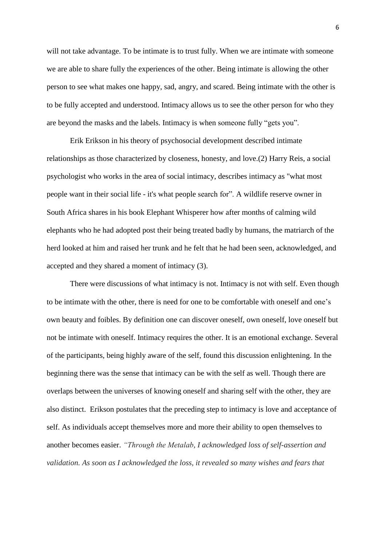will not take advantage. To be intimate is to trust fully. When we are intimate with someone we are able to share fully the experiences of the other. Being intimate is allowing the other person to see what makes one happy, sad, angry, and scared. Being intimate with the other is to be fully accepted and understood. Intimacy allows us to see the other person for who they are beyond the masks and the labels. Intimacy is when someone fully "gets you".

Erik Erikson in his theory of psychosocial development described intimate relationships as those characterized by closeness, honesty, and love.(2) Harry Reis, a social psychologist who works in the area of social intimacy, describes intimacy as "what most people want in their social life - it's what people search for". A wildlife reserve owner in South Africa shares in his book Elephant Whisperer how after months of calming wild elephants who he had adopted post their being treated badly by humans, the matriarch of the herd looked at him and raised her trunk and he felt that he had been seen, acknowledged, and accepted and they shared a moment of intimacy (3).

There were discussions of what intimacy is not. Intimacy is not with self. Even though to be intimate with the other, there is need for one to be comfortable with oneself and one's own beauty and foibles. By definition one can discover oneself, own oneself, love oneself but not be intimate with oneself. Intimacy requires the other. It is an emotional exchange. Several of the participants, being highly aware of the self, found this discussion enlightening. In the beginning there was the sense that intimacy can be with the self as well. Though there are overlaps between the universes of knowing oneself and sharing self with the other, they are also distinct. Erikson postulates that the preceding step to intimacy is love and acceptance of self. As individuals accept themselves more and more their ability to open themselves to another becomes easier. *"Through the Metalab, I acknowledged loss of self-assertion and validation. As soon as I acknowledged the loss, it revealed so many wishes and fears that*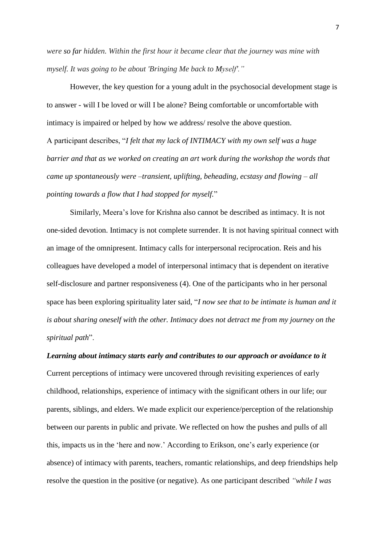*were so far hidden. Within the first hour it became clear that the journey was mine with myself. It was going to be about 'Bringing Me back to Myself'."*

However, the key question for a young adult in the psychosocial development stage is to answer - will I be loved or will I be alone? Being comfortable or uncomfortable with intimacy is impaired or helped by how we address/ resolve the above question. A participant describes, "*I felt that my lack of INTIMACY with my own self was a huge barrier and that as we worked on creating an art work during the workshop the words that came up spontaneously were –transient, uplifting, beheading, ecstasy and flowing – all pointing towards a flow that I had stopped for myself.*"

Similarly, Meera's love for Krishna also cannot be described as intimacy. It is not one-sided devotion. Intimacy is not complete surrender. It is not having spiritual connect with an image of the omnipresent. Intimacy calls for interpersonal reciprocation. Reis and his colleagues have developed a model of interpersonal intimacy that is dependent on iterative self-disclosure and partner responsiveness (4). One of the participants who in her personal space has been exploring spirituality later said, "*I now see that to be intimate is human and it is about sharing oneself with the other. Intimacy does not detract me from my journey on the spiritual path*".

# *Learning about intimacy starts early and contributes to our approach or avoidance to it* Current perceptions of intimacy were uncovered through revisiting experiences of early childhood, relationships, experience of intimacy with the significant others in our life; our parents, siblings, and elders. We made explicit our experience/perception of the relationship between our parents in public and private. We reflected on how the pushes and pulls of all this, impacts us in the 'here and now.' According to Erikson, one's early experience (or absence) of intimacy with parents, teachers, romantic relationships, and deep friendships help resolve the question in the positive (or negative). As one participant described *"while I was*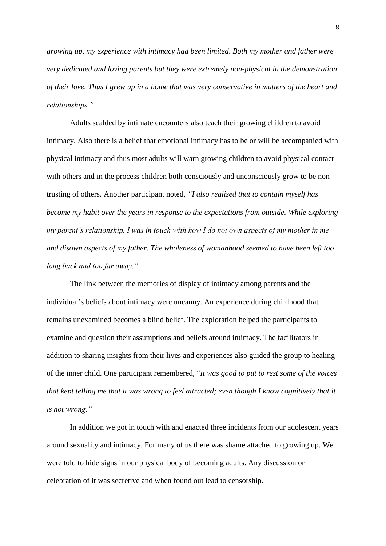*growing up, my experience with intimacy had been limited. Both my mother and father were very dedicated and loving parents but they were extremely non-physical in the demonstration* of their love. Thus I grew up in a home that was very conservative in matters of the heart and *relationships."*

Adults scalded by intimate encounters also teach their growing children to avoid intimacy. Also there is a belief that emotional intimacy has to be or will be accompanied with physical intimacy and thus most adults will warn growing children to avoid physical contact with others and in the process children both consciously and unconsciously grow to be nontrusting of others. Another participant noted, *"I also realised that to contain myself has become my habit over the years in response to the expectations from outside. While exploring my parent's relationship, I was in touch with how I do not own aspects of my mother in me and disown aspects of my father. The wholeness of womanhood seemed to have been left too long back and too far away."*

The link between the memories of display of intimacy among parents and the individual's beliefs about intimacy were uncanny. An experience during childhood that remains unexamined becomes a blind belief. The exploration helped the participants to examine and question their assumptions and beliefs around intimacy. The facilitators in addition to sharing insights from their lives and experiences also guided the group to healing of the inner child. One participant remembered, "*It was good to put to rest some of the voices that kept telling me that it was wrong to feel attracted; even though I know cognitively that it is not wrong."*

In addition we got in touch with and enacted three incidents from our adolescent years around sexuality and intimacy. For many of us there was shame attached to growing up. We were told to hide signs in our physical body of becoming adults. Any discussion or celebration of it was secretive and when found out lead to censorship.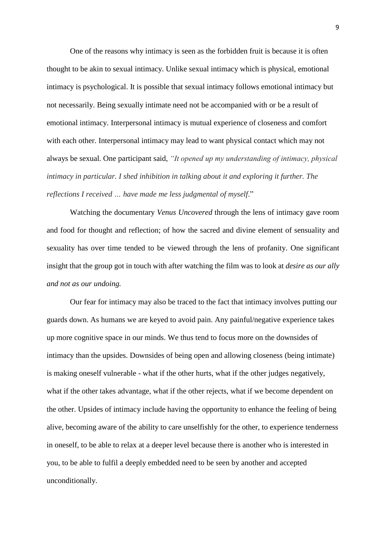One of the reasons why intimacy is seen as the forbidden fruit is because it is often thought to be akin to sexual intimacy. Unlike sexual intimacy which is physical, emotional intimacy is psychological. It is possible that sexual intimacy follows emotional intimacy but not necessarily. Being sexually intimate need not be accompanied with or be a result of emotional intimacy. Interpersonal intimacy is mutual experience of closeness and comfort with each other. Interpersonal intimacy may lead to want physical contact which may not always be sexual. One participant said, *"It opened up my understanding of intimacy, physical intimacy in particular. I shed inhibition in talking about it and exploring it further. The reflections I received … have made me less judgmental of myself*."

Watching the documentary *Venus Uncovered* through the lens of intimacy gave room and food for thought and reflection; of how the sacred and divine element of sensuality and sexuality has over time tended to be viewed through the lens of profanity. One significant insight that the group got in touch with after watching the film was to look at *desire as our ally and not as our undoing.*

Our fear for intimacy may also be traced to the fact that intimacy involves putting our guards down. As humans we are keyed to avoid pain. Any painful/negative experience takes up more cognitive space in our minds. We thus tend to focus more on the downsides of intimacy than the upsides. Downsides of being open and allowing closeness (being intimate) is making oneself vulnerable - what if the other hurts, what if the other judges negatively, what if the other takes advantage, what if the other rejects, what if we become dependent on the other. Upsides of intimacy include having the opportunity to enhance the feeling of being alive, becoming aware of the ability to care unselfishly for the other, to experience tenderness in oneself, to be able to relax at a deeper level because there is another who is interested in you, to be able to fulfil a deeply embedded need to be seen by another and accepted unconditionally.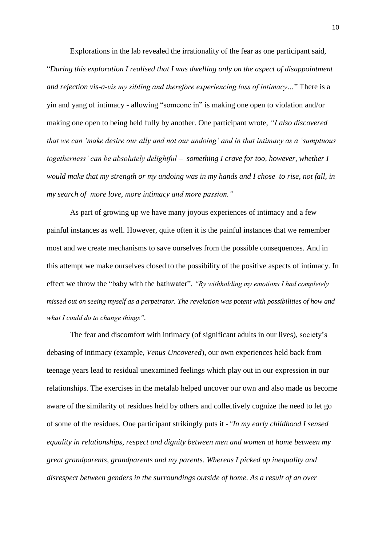Explorations in the lab revealed the irrationality of the fear as one participant said, "*During this exploration I realised that I was dwelling only on the aspect of disappointment and rejection vis-a-vis my sibling and therefore experiencing loss of intimacy…*" There is a yin and yang of intimacy - allowing "someone in" is making one open to violation and/or making one open to being held fully by another. One participant wrote, *"I also discovered that we can 'make desire our ally and not our undoing' and in that intimacy as a 'sumptuous togetherness' can be absolutely delightful – something I crave for too, however, whether I would make that my strength or my undoing was in my hands and I chose to rise, not fall, in my search of more love, more intimacy and more passion."*

As part of growing up we have many joyous experiences of intimacy and a few painful instances as well. However, quite often it is the painful instances that we remember most and we create mechanisms to save ourselves from the possible consequences. And in this attempt we make ourselves closed to the possibility of the positive aspects of intimacy. In effect we throw the "baby with the bathwater". *"By withholding my emotions I had completely missed out on seeing myself as a perpetrator. The revelation was potent with possibilities of how and what I could do to change things".*

The fear and discomfort with intimacy (of significant adults in our lives), society's debasing of intimacy (example, *Venus Uncovered*), our own experiences held back from teenage years lead to residual unexamined feelings which play out in our expression in our relationships. The exercises in the metalab helped uncover our own and also made us become aware of the similarity of residues held by others and collectively cognize the need to let go of some of the residues. One participant strikingly puts it -*"In my early childhood I sensed equality in relationships, respect and dignity between men and women at home between my great grandparents, grandparents and my parents. Whereas I picked up inequality and disrespect between genders in the surroundings outside of home. As a result of an over*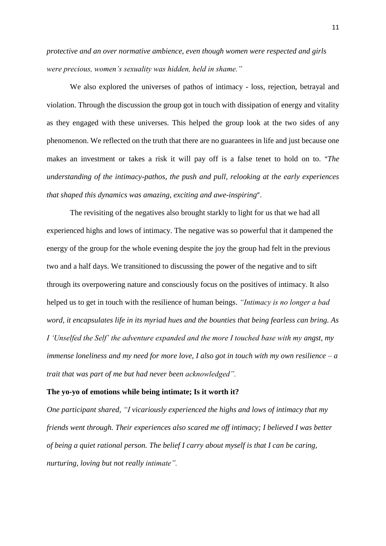*protective and an over normative ambience, even though women were respected and girls were precious, women's sexuality was hidden, held in shame."*

We also explored the universes of pathos of intimacy - loss, rejection, betrayal and violation. Through the discussion the group got in touch with dissipation of energy and vitality as they engaged with these universes. This helped the group look at the two sides of any phenomenon. We reflected on the truth that there are no guarantees in life and just because one makes an investment or takes a risk it will pay off is a false tenet to hold on to. "*The understanding of the intimacy-pathos, the push and pull, relooking at the early experiences that shaped this dynamics was amazing, exciting and awe-inspiring*".

The revisiting of the negatives also brought starkly to light for us that we had all experienced highs and lows of intimacy. The negative was so powerful that it dampened the energy of the group for the whole evening despite the joy the group had felt in the previous two and a half days. We transitioned to discussing the power of the negative and to sift through its overpowering nature and consciously focus on the positives of intimacy. It also helped us to get in touch with the resilience of human beings. *"Intimacy is no longer a bad word, it encapsulates life in its myriad hues and the bounties that being fearless can bring. As I 'Unselfed the Self' the adventure expanded and the more I touched base with my angst, my immense loneliness and my need for more love, I also got in touch with my own resilience – a trait that was part of me but had never been acknowledged".* 

## **The yo-yo of emotions while being intimate; Is it worth it?**

*One participant shared, "I vicariously experienced the highs and lows of intimacy that my friends went through. Their experiences also scared me off intimacy; I believed I was better of being a quiet rational person. The belief I carry about myself is that I can be caring, nurturing, loving but not really intimate".*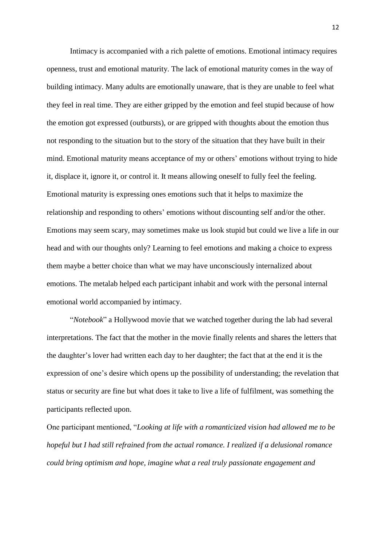Intimacy is accompanied with a rich palette of emotions. Emotional intimacy requires openness, trust and emotional maturity. The lack of emotional maturity comes in the way of building intimacy. Many adults are emotionally unaware, that is they are unable to feel what they feel in real time. They are either gripped by the emotion and feel stupid because of how the emotion got expressed (outbursts), or are gripped with thoughts about the emotion thus not responding to the situation but to the story of the situation that they have built in their mind. Emotional maturity means acceptance of my or others' emotions without trying to hide it, displace it, ignore it, or control it. It means allowing oneself to fully feel the feeling. Emotional maturity is expressing ones emotions such that it helps to maximize the relationship and responding to others' emotions without discounting self and/or the other. Emotions may seem scary, may sometimes make us look stupid but could we live a life in our head and with our thoughts only? Learning to feel emotions and making a choice to express them maybe a better choice than what we may have unconsciously internalized about emotions. The metalab helped each participant inhabit and work with the personal internal emotional world accompanied by intimacy.

"*Notebook*" a Hollywood movie that we watched together during the lab had several interpretations. The fact that the mother in the movie finally relents and shares the letters that the daughter's lover had written each day to her daughter; the fact that at the end it is the expression of one's desire which opens up the possibility of understanding; the revelation that status or security are fine but what does it take to live a life of fulfilment, was something the participants reflected upon.

One participant mentioned, "*Looking at life with a romanticized vision had allowed me to be hopeful but I had still refrained from the actual romance. I realized if a delusional romance could bring optimism and hope, imagine what a real truly passionate engagement and*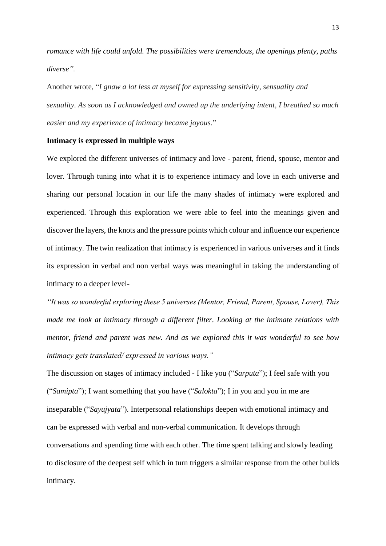*romance with life could unfold. The possibilities were tremendous, the openings plenty, paths diverse".*

Another wrote, "*I gnaw a lot less at myself for expressing sensitivity, sensuality and sexuality. As soon as I acknowledged and owned up the underlying intent, I breathed so much easier and my experience of intimacy became joyous.*"

## **Intimacy is expressed in multiple ways**

We explored the different universes of intimacy and love - parent, friend, spouse, mentor and lover. Through tuning into what it is to experience intimacy and love in each universe and sharing our personal location in our life the many shades of intimacy were explored and experienced. Through this exploration we were able to feel into the meanings given and discover the layers, the knots and the pressure points which colour and influence our experience of intimacy. The twin realization that intimacy is experienced in various universes and it finds its expression in verbal and non verbal ways was meaningful in taking the understanding of intimacy to a deeper level-

*"It was so wonderful exploring these 5 universes (Mentor, Friend, Parent, Spouse, Lover), This made me look at intimacy through a different filter. Looking at the intimate relations with mentor, friend and parent was new. And as we explored this it was wonderful to see how intimacy gets translated/ expressed in various ways."*

The discussion on stages of intimacy included - I like you ("*Sarputa*"); I feel safe with you ("*Samipta*"); I want something that you have ("*Salokta*"); I in you and you in me are inseparable ("*Sayujyata*"). Interpersonal relationships deepen with emotional intimacy and can be expressed with verbal and non-verbal communication. It develops through conversations and spending time with each other. The time spent talking and slowly leading to disclosure of the deepest self which in turn triggers a similar response from the other builds intimacy.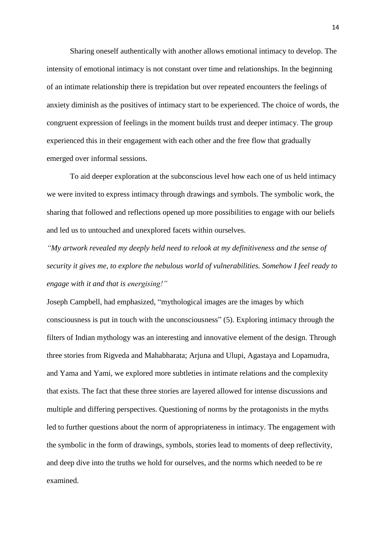Sharing oneself authentically with another allows emotional intimacy to develop. The intensity of emotional intimacy is not constant over time and relationships. In the beginning of an intimate relationship there is trepidation but over repeated encounters the feelings of anxiety diminish as the positives of intimacy start to be experienced. The choice of words, the congruent expression of feelings in the moment builds trust and deeper intimacy. The group experienced this in their engagement with each other and the free flow that gradually emerged over informal sessions.

To aid deeper exploration at the subconscious level how each one of us held intimacy we were invited to express intimacy through drawings and symbols. The symbolic work, the sharing that followed and reflections opened up more possibilities to engage with our beliefs and led us to untouched and unexplored facets within ourselves.

*"My artwork revealed my deeply held need to relook at my definitiveness and the sense of security it gives me, to explore the nebulous world of vulnerabilities. Somehow I feel ready to engage with it and that is energising!"*

Joseph Campbell, had emphasized, "mythological images are the images by which consciousness is put in touch with the unconsciousness" (5). Exploring intimacy through the filters of Indian mythology was an interesting and innovative element of the design. Through three stories from Rigveda and Mahabharata; Arjuna and Ulupi, Agastaya and Lopamudra, and Yama and Yami, we explored more subtleties in intimate relations and the complexity that exists. The fact that these three stories are layered allowed for intense discussions and multiple and differing perspectives. Questioning of norms by the protagonists in the myths led to further questions about the norm of appropriateness in intimacy. The engagement with the symbolic in the form of drawings, symbols, stories lead to moments of deep reflectivity, and deep dive into the truths we hold for ourselves, and the norms which needed to be re examined.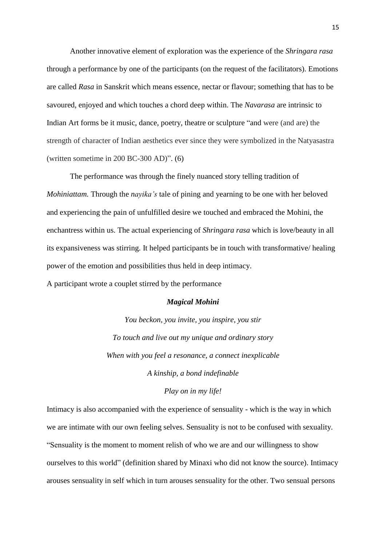Another innovative element of exploration was the experience of the *Shringara rasa* through a performance by one of the participants (on the request of the facilitators). Emotions are called *Rasa* in Sanskrit which means essence, nectar or flavour; something that has to be savoured, enjoyed and which touches a chord deep within. The *Navarasa* are intrinsic to Indian Art forms be it music, dance, poetry, theatre or sculpture "and were (and are) the strength of character of Indian aesthetics ever since they were symbolized in the Natyasastra (written sometime in 200 BC-300 AD)". (6)

The performance was through the finely nuanced story telling tradition of *Mohiniattam.* Through the *nayika's* tale of pining and yearning to be one with her beloved and experiencing the pain of unfulfilled desire we touched and embraced the Mohini, the enchantress within us. The actual experiencing of *Shringara rasa* which is love/beauty in all its expansiveness was stirring. It helped participants be in touch with transformative/ healing power of the emotion and possibilities thus held in deep intimacy.

A participant wrote a couplet stirred by the performance

## *Magical Mohini*

*You beckon, you invite, you inspire, you stir To touch and live out my unique and ordinary story When with you feel a resonance, a connect inexplicable A kinship, a bond indefinable*

*Play on in my life!*

Intimacy is also accompanied with the experience of sensuality - which is the way in which we are intimate with our own feeling selves. Sensuality is not to be confused with sexuality. "Sensuality is the moment to moment relish of who we are and our willingness to show ourselves to this world" (definition shared by Minaxi who did not know the source). Intimacy arouses sensuality in self which in turn arouses sensuality for the other. Two sensual persons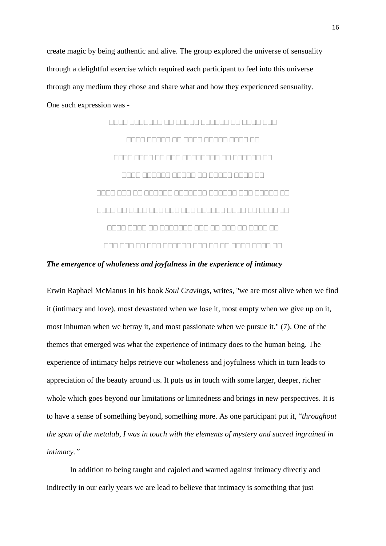create magic by being authentic and alive. The group explored the universe of sensuality through a delightful exercise which required each participant to feel into this universe through any medium they chose and share what and how they experienced sensuality. One such expression was -



*The emergence of wholeness and joyfulness in the experience of intimacy*

Erwin Raphael McManus in his book *Soul Cravings*, writes, "we are most alive when we find it (intimacy and love), most devastated when we lose it, most empty when we give up on it, most inhuman when we betray it, and most passionate when we pursue it." (7). One of the themes that emerged was what the experience of intimacy does to the human being. The experience of intimacy helps retrieve our wholeness and joyfulness which in turn leads to appreciation of the beauty around us. It puts us in touch with some larger, deeper, richer whole which goes beyond our limitations or limitedness and brings in new perspectives. It is to have a sense of something beyond, something more. As one participant put it, "*throughout the span of the metalab, I was in touch with the elements of mystery and sacred ingrained in intimacy."*

In addition to being taught and cajoled and warned against intimacy directly and indirectly in our early years we are lead to believe that intimacy is something that just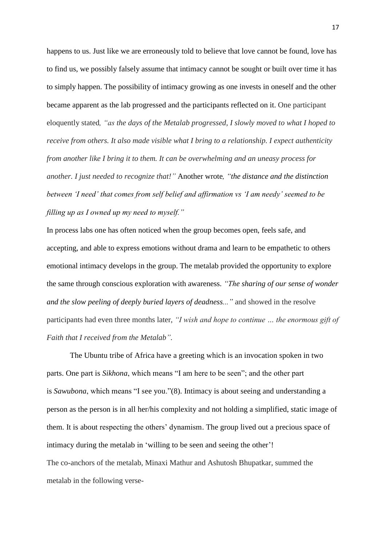happens to us. Just like we are erroneously told to believe that love cannot be found, love has to find us, we possibly falsely assume that intimacy cannot be sought or built over time it has to simply happen. The possibility of intimacy growing as one invests in oneself and the other became apparent as the lab progressed and the participants reflected on it. One participant eloquently stated*, "as the days of the Metalab progressed, I slowly moved to what I hoped to receive from others. It also made visible what I bring to a relationship. I expect authenticity from another like I bring it to them. It can be overwhelming and an uneasy process for another. I just needed to recognize that!"* Another wrote*, "the distance and the distinction between 'I need' that comes from self belief and affirmation vs 'I am needy' seemed to be filling up as I owned up my need to myself."*

In process labs one has often noticed when the group becomes open, feels safe, and accepting, and able to express emotions without drama and learn to be empathetic to others emotional intimacy develops in the group. The metalab provided the opportunity to explore the same through conscious exploration with awareness. *"The sharing of our sense of wonder and the slow peeling of deeply buried layers of deadness..."* and showed in the resolve participants had even three months later, *"I wish and hope to continue … the enormous gift of Faith that I received from the Metalab".*

The Ubuntu tribe of Africa have a greeting which is an invocation spoken in two parts. One part is *Sikhona*, which means "I am here to be seen"; and the other part is *Sawubona*, which means "I see you."(8). Intimacy is about seeing and understanding a person as the person is in all her/his complexity and not holding a simplified, static image of them. It is about respecting the others' dynamism. The group lived out a precious space of intimacy during the metalab in 'willing to be seen and seeing the other'! The co-anchors of the metalab, Minaxi Mathur and Ashutosh Bhupatkar, summed the metalab in the following verse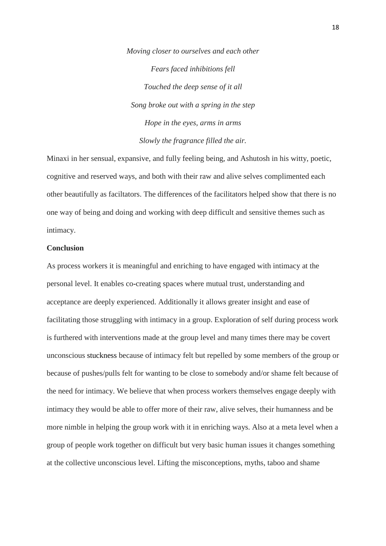*Moving closer to ourselves and each other Fears faced inhibitions fell Touched the deep sense of it all Song broke out with a spring in the step Hope in the eyes, arms in arms Slowly the fragrance filled the air.*

Minaxi in her sensual, expansive, and fully feeling being, and Ashutosh in his witty, poetic, cognitive and reserved ways, and both with their raw and alive selves complimented each other beautifully as faciltators. The differences of the facilitators helped show that there is no one way of being and doing and working with deep difficult and sensitive themes such as intimacy.

## **Conclusion**

As process workers it is meaningful and enriching to have engaged with intimacy at the personal level. It enables co-creating spaces where mutual trust, understanding and acceptance are deeply experienced. Additionally it allows greater insight and ease of facilitating those struggling with intimacy in a group. Exploration of self during process work is furthered with interventions made at the group level and many times there may be covert unconscious stuckness because of intimacy felt but repelled by some members of the group or because of pushes/pulls felt for wanting to be close to somebody and/or shame felt because of the need for intimacy. We believe that when process workers themselves engage deeply with intimacy they would be able to offer more of their raw, alive selves, their humanness and be more nimble in helping the group work with it in enriching ways. Also at a meta level when a group of people work together on difficult but very basic human issues it changes something at the collective unconscious level. Lifting the misconceptions, myths, taboo and shame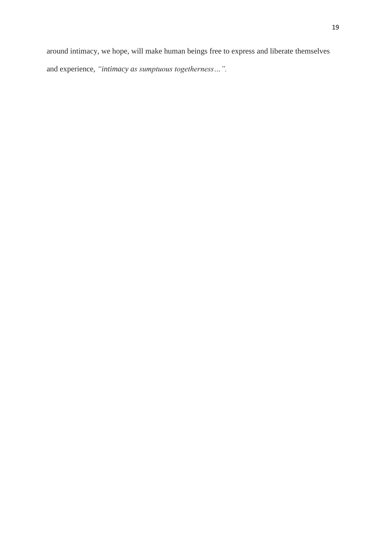around intimacy, we hope, will make human beings free to express and liberate themselves and experience, *"intimacy as sumptuous togetherness…".*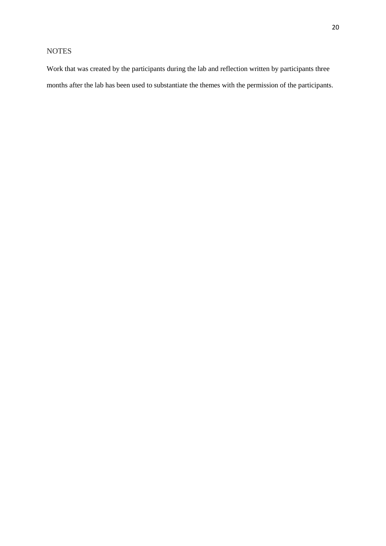## NOTES

Work that was created by the participants during the lab and reflection written by participants three months after the lab has been used to substantiate the themes with the permission of the participants.